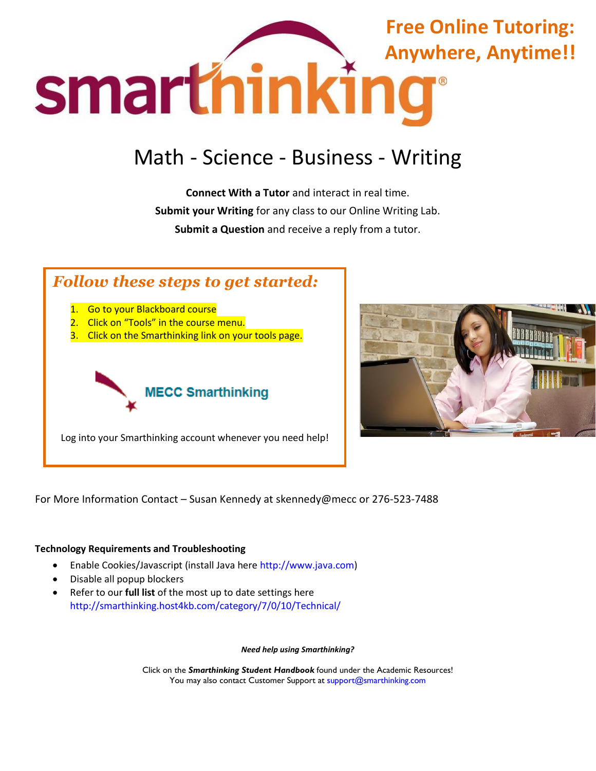

# Math - Science - Business - Writing

**Connect With a Tutor** and interact in real time. **Submit your Writing** for any class to our Online Writing Lab. **Submit a Question** and receive a reply from a tutor.

# *Follow these steps to get started:*

- 1. Go to your Blackboard course
- 2. Click on "Tools" in the course menu.
- 3. Click on the Smarthinking link on your tools page.



Log into your Smarthinking account whenever you need help!



For More Information Contact – Susan Kennedy at skennedy@mecc or 276-523-7488

## **Technology Requirements and Troubleshooting**

- Enable Cookies/Javascript (install Java here [http://www.java.com\)](http://www.java.com/)
- Disable all popup blockers
- Refer to our **full list** of the most up to date settings here <http://smarthinking.host4kb.com/category/7/0/10/Technical/>

*Need help using Smarthinking?* 

Click on the *Smarthinking Student Handbook* found under the Academic Resources! You may also contact Customer Support at [support@smarthinking.com](mailto:support@smarthinking.com)